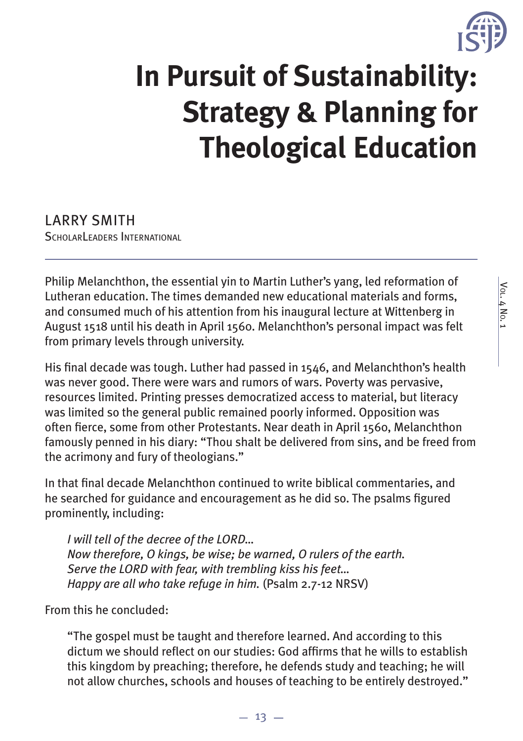

# **In Pursuit of Sustainability: Strategy & Planning for Theological Education**

LARRY SMITH SCHOLARLEADERS INTERNATIONAL

Philip Melanchthon, the essential yin to Martin Luther's yang, led reformation of Lutheran education. The times demanded new educational materials and forms, and consumed much of his attention from his inaugural lecture at Wittenberg in August 1518 until his death in April 1560. Melanchthon's personal impact was felt from primary levels through university.

His final decade was tough. Luther had passed in  $1546$ , and Melanchthon's health was never good. There were wars and rumors of wars. Poverty was pervasive, resources limited. Printing presses democratized access to material, but literacy was limited so the general public remained poorly informed. Opposition was often fierce, some from other Protestants. Near death in April 1560, Melanchthon famously penned in his diary: "Thou shalt be delivered from sins, and be freed from the acrimony and fury of theologians."

In that final decade Melanchthon continued to write biblical commentaries, and he searched for guidance and encouragement as he did so. The psalms figured prominently, including:

*I will tell of the decree of the LORD… Now therefore, O kings, be wise; be warned, O rulers of the earth. Serve the LORD with fear, with trembling kiss his feet… Happy are all who take refuge in him.* (Psalm 2.7-12 NRSV)

From this he concluded:

"The gospel must be taught and therefore learned. And according to this dictum we should reflect on our studies: God affirms that he wills to establish this kingdom by preaching; therefore, he defends study and teaching; he will not allow churches, schools and houses of teaching to be entirely destroyed."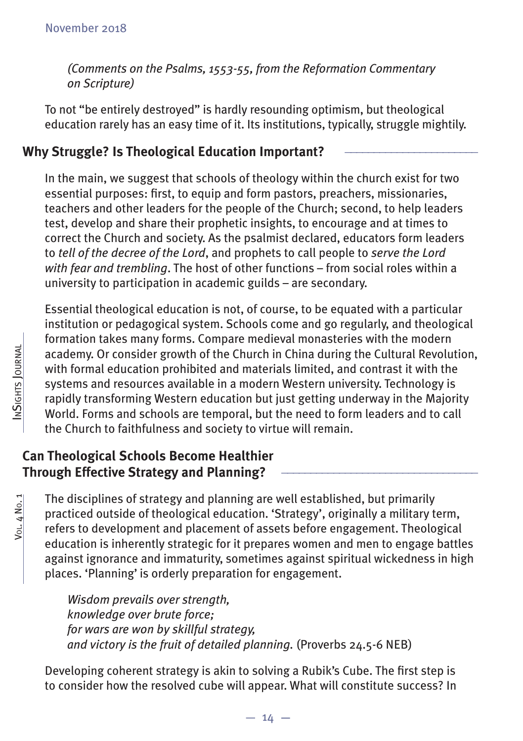*(Comments on the Psalms, 1553-55, from the Reformation Commentary on Scripture)*

To not "be entirely destroyed" is hardly resounding optimism, but theological education rarely has an easy time of it. Its institutions, typically, struggle mightily.

### **Why Struggle? Is Theological Education Important? \_\_\_\_\_\_\_\_\_\_\_\_\_\_\_\_\_\_\_\_\_\_\_**

In the main, we suggest that schools of theology within the church exist for two essential purposes: first, to equip and form pastors, preachers, missionaries, teachers and other leaders for the people of the Church; second, to help leaders test, develop and share their prophetic insights, to encourage and at times to correct the Church and society. As the psalmist declared, educators form leaders to *tell of the decree of the Lord*, and prophets to call people to *serve the Lord with fear and trembling*. The host of other functions – from social roles within a university to participation in academic guilds – are secondary.

Essential theological education is not, of course, to be equated with a particular institution or pedagogical system. Schools come and go regularly, and theological formation takes many forms. Compare medieval monasteries with the modern academy. Or consider growth of the Church in China during the Cultural Revolution, with formal education prohibited and materials limited, and contrast it with the systems and resources available in a modern Western university. Technology is rapidly transforming Western education but just getting underway in the Majority World. Forms and schools are temporal, but the need to form leaders and to call the Church to faithfulness and society to virtue will remain.

# **Can Theological Schools Become Healthier Through Effective Strategy and Planning?**

The disciplines of strategy and planning are well established, but primarily practiced outside of theological education. 'Strategy', originally a military term, refers to development and placement of assets before engagement. Theological education is inherently strategic for it prepares women and men to engage battles against ignorance and immaturity, sometimes against spiritual wickedness in high places. 'Planning' is orderly preparation for engagement.

*Wisdom prevails over strength, knowledge over brute force; for wars are won by skillful strategy, and victory is the fruit of detailed planning.* (Proverbs 24.5-6 NEB)

Developing coherent strategy is akin to solving a Rubik's Cube. The first step is to consider how the resolved cube will appear. What will constitute success? In

Vol. 4 No. 1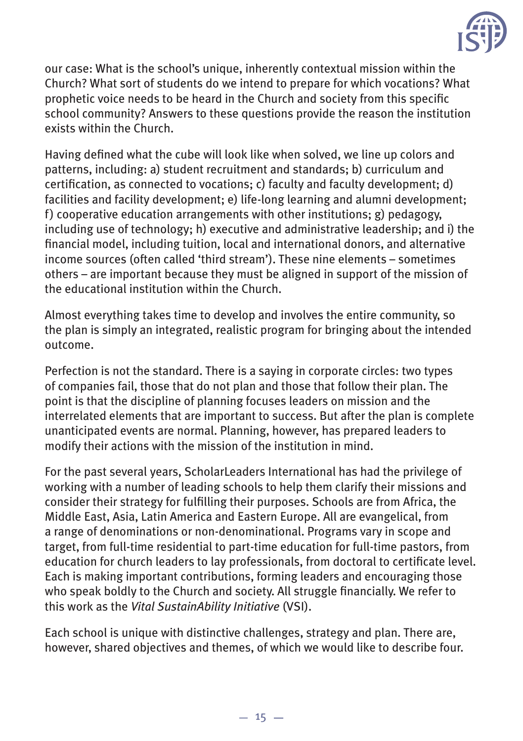

our case: What is the school's unique, inherently contextual mission within the Church? What sort of students do we intend to prepare for which vocations? What prophetic voice needs to be heard in the Church and society from this specific school community? Answers to these questions provide the reason the institution exists within the Church.

Having defined what the cube will look like when solved, we line up colors and patterns, including: a) student recruitment and standards; b) curriculum and certification, as connected to vocations; c) faculty and faculty development; d) facilities and facility development; e) life-long learning and alumni development; f) cooperative education arrangements with other institutions; g) pedagogy, including use of technology; h) executive and administrative leadership; and i) the financial model, including tuition, local and international donors, and alternative income sources (often called 'third stream'). These nine elements – sometimes others – are important because they must be aligned in support of the mission of the educational institution within the Church.

Almost everything takes time to develop and involves the entire community, so the plan is simply an integrated, realistic program for bringing about the intended outcome.

Perfection is not the standard. There is a saying in corporate circles: two types of companies fail, those that do not plan and those that follow their plan. The point is that the discipline of planning focuses leaders on mission and the interrelated elements that are important to success. But after the plan is complete unanticipated events are normal. Planning, however, has prepared leaders to modify their actions with the mission of the institution in mind.

For the past several years, ScholarLeaders International has had the privilege of working with a number of leading schools to help them clarify their missions and consider their strategy for fulfilling their purposes. Schools are from Africa, the Middle East, Asia, Latin America and Eastern Europe. All are evangelical, from a range of denominations or non-denominational. Programs vary in scope and target, from full-time residential to part-time education for full-time pastors, from education for church leaders to lay professionals, from doctoral to certificate level. Each is making important contributions, forming leaders and encouraging those who speak boldly to the Church and society. All struggle financially. We refer to this work as the *Vital SustainAbility Initiative* (VSI).

Each school is unique with distinctive challenges, strategy and plan. There are, however, shared objectives and themes, of which we would like to describe four.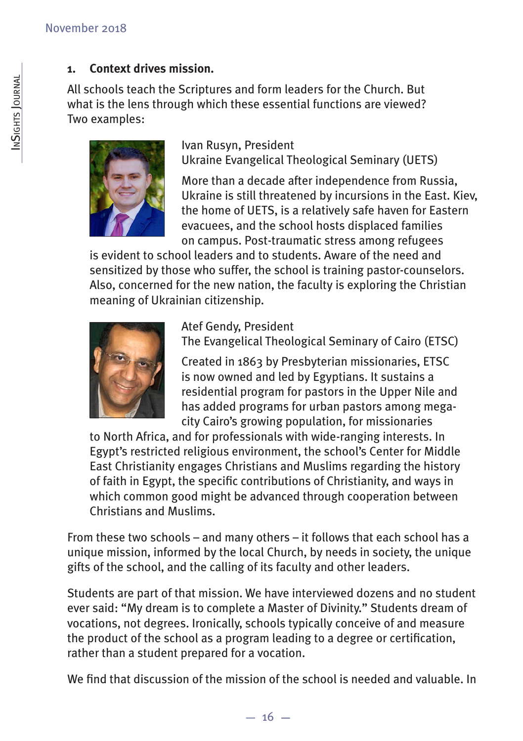#### **1. Context drives mission.**

All schools teach the Scriptures and form leaders for the Church. But what is the lens through which these essential functions are viewed? Two examples:



Ivan Rusyn, President Ukraine Evangelical Theological Seminary (UETS)

More than a decade after independence from Russia, Ukraine is still threatened by incursions in the East. Kiev, the home of UETS, is a relatively safe haven for Eastern evacuees, and the school hosts displaced families on campus. Post-traumatic stress among refugees

is evident to school leaders and to students. Aware of the need and sensitized by those who suffer, the school is training pastor-counselors. Also, concerned for the new nation, the faculty is exploring the Christian meaning of Ukrainian citizenship.



Atef Gendy, President The Evangelical Theological Seminary of Cairo (ETSC)

Created in 1863 by Presbyterian missionaries, ETSC is now owned and led by Egyptians. It sustains a residential program for pastors in the Upper Nile and has added programs for urban pastors among megacity Cairo's growing population, for missionaries

to North Africa, and for professionals with wide-ranging interests. In Egypt's restricted religious environment, the school's Center for Middle East Christianity engages Christians and Muslims regarding the history of faith in Egypt, the specific contributions of Christianity, and ways in which common good might be advanced through cooperation between Christians and Muslims.

From these two schools – and many others – it follows that each school has a unique mission, informed by the local Church, by needs in society, the unique gifts of the school, and the calling of its faculty and other leaders.

Students are part of that mission. We have interviewed dozens and no student ever said: "My dream is to complete a Master of Divinity." Students dream of vocations, not degrees. Ironically, schools typically conceive of and measure the product of the school as a program leading to a degree or certification, rather than a student prepared for a vocation.

We find that discussion of the mission of the school is needed and valuable. In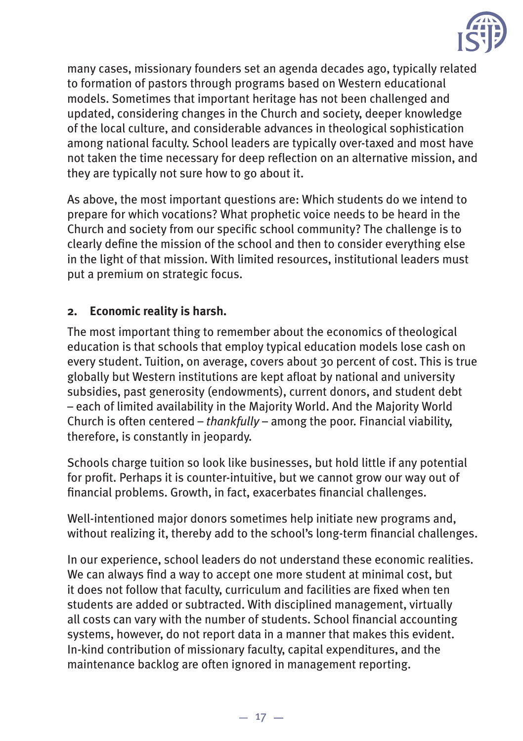

many cases, missionary founders set an agenda decades ago, typically related to formation of pastors through programs based on Western educational models. Sometimes that important heritage has not been challenged and updated, considering changes in the Church and society, deeper knowledge of the local culture, and considerable advances in theological sophistication among national faculty. School leaders are typically over-taxed and most have not taken the time necessary for deep reflection on an alternative mission, and they are typically not sure how to go about it.

As above, the most important questions are: Which students do we intend to prepare for which vocations? What prophetic voice needs to be heard in the Church and society from our specific school community? The challenge is to clearly define the mission of the school and then to consider everything else in the light of that mission. With limited resources, institutional leaders must put a premium on strategic focus.

#### **2. Economic reality is harsh.**

The most important thing to remember about the economics of theological education is that schools that employ typical education models lose cash on every student. Tuition, on average, covers about 30 percent of cost. This is true globally but Western institutions are kept afloat by national and university subsidies, past generosity (endowments), current donors, and student debt – each of limited availability in the Majority World. And the Majority World Church is often centered – *thankfully* – among the poor. Financial viability, therefore, is constantly in jeopardy.

Schools charge tuition so look like businesses, but hold little if any potential for profit. Perhaps it is counter-intuitive, but we cannot grow our way out of financial problems. Growth, in fact, exacerbates financial challenges.

Well-intentioned major donors sometimes help initiate new programs and, without realizing it, thereby add to the school's long-term financial challenges.

In our experience, school leaders do not understand these economic realities. We can always find a way to accept one more student at minimal cost, but it does not follow that faculty, curriculum and facilities are fixed when ten students are added or subtracted. With disciplined management, virtually all costs can vary with the number of students. School financial accounting systems, however, do not report data in a manner that makes this evident. In-kind contribution of missionary faculty, capital expenditures, and the maintenance backlog are often ignored in management reporting.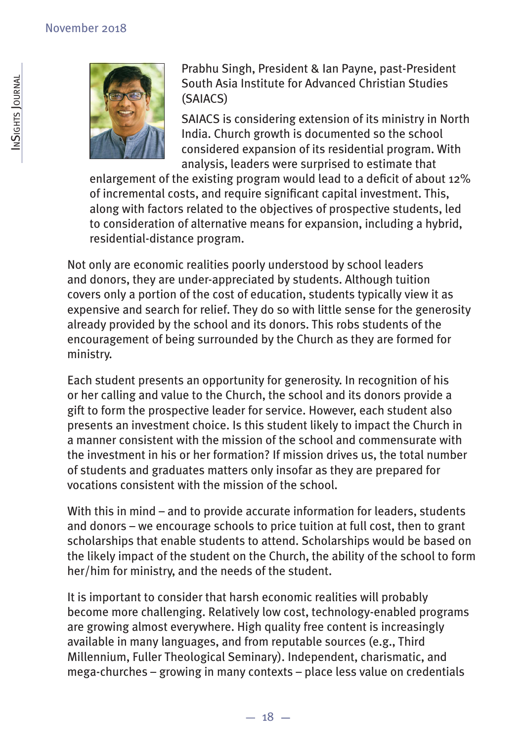

Prabhu Singh, President & Ian Payne, past-President South Asia Institute for Advanced Christian Studies (SAIACS)

SAIACS is considering extension of its ministry in North India. Church growth is documented so the school considered expansion of its residential program. With analysis, leaders were surprised to estimate that

enlargement of the existing program would lead to a deficit of about 12% of incremental costs, and require significant capital investment. This, along with factors related to the objectives of prospective students, led to consideration of alternative means for expansion, including a hybrid, residential-distance program.

Not only are economic realities poorly understood by school leaders and donors, they are under-appreciated by students. Although tuition covers only a portion of the cost of education, students typically view it as expensive and search for relief. They do so with little sense for the generosity already provided by the school and its donors. This robs students of the encouragement of being surrounded by the Church as they are formed for ministry.

Each student presents an opportunity for generosity. In recognition of his or her calling and value to the Church, the school and its donors provide a gift to form the prospective leader for service. However, each student also presents an investment choice. Is this student likely to impact the Church in a manner consistent with the mission of the school and commensurate with the investment in his or her formation? If mission drives us, the total number of students and graduates matters only insofar as they are prepared for vocations consistent with the mission of the school.

With this in mind – and to provide accurate information for leaders, students and donors – we encourage schools to price tuition at full cost, then to grant scholarships that enable students to attend. Scholarships would be based on the likely impact of the student on the Church, the ability of the school to form her/him for ministry, and the needs of the student.

It is important to consider that harsh economic realities will probably become more challenging. Relatively low cost, technology-enabled programs are growing almost everywhere. High quality free content is increasingly available in many languages, and from reputable sources (e.g., Third Millennium, Fuller Theological Seminary). Independent, charismatic, and mega-churches – growing in many contexts – place less value on credentials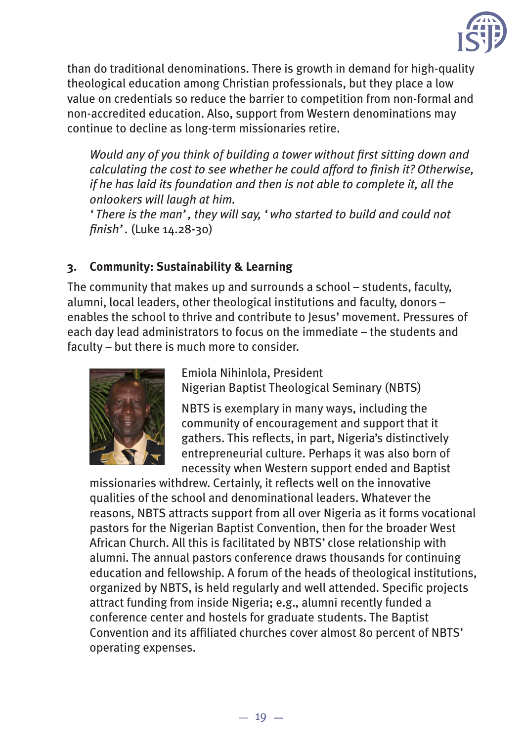

than do traditional denominations. There is growth in demand for high-quality theological education among Christian professionals, but they place a low value on credentials so reduce the barrier to competition from non-formal and non-accredited education. Also, support from Western denominations may continue to decline as long-term missionaries retire.

*Would any of you think of building a tower without fi rst sitting down and calculating the cost to see whether he could afford to finish it? Otherwise, if he has laid its foundation and then is not able to complete it, all the onlookers will laugh at him.* 

*'There is the man', they will say, 'who started to build and could not fi nish'.* (Luke 14.28-30)

#### **3. Community: Sustainability & Learning**

The community that makes up and surrounds a school – students, faculty, alumni, local leaders, other theological institutions and faculty, donors – enables the school to thrive and contribute to Jesus' movement. Pressures of each day lead administrators to focus on the immediate – the students and faculty – but there is much more to consider.



Emiola Nihinlola, President Nigerian Baptist Theological Seminary (NBTS)

NBTS is exemplary in many ways, including the community of encouragement and support that it gathers. This reflects, in part, Nigeria's distinctively entrepreneurial culture. Perhaps it was also born of necessity when Western support ended and Baptist

missionaries withdrew. Certainly, it reflects well on the innovative qualities of the school and denominational leaders. Whatever the reasons, NBTS attracts support from all over Nigeria as it forms vocational pastors for the Nigerian Baptist Convention, then for the broader West African Church. All this is facilitated by NBTS' close relationship with alumni. The annual pastors conference draws thousands for continuing education and fellowship. A forum of the heads of theological institutions, organized by NBTS, is held regularly and well attended. Specific projects attract funding from inside Nigeria; e.g., alumni recently funded a conference center and hostels for graduate students. The Baptist Convention and its affiliated churches cover almost 80 percent of NBTS' operating expenses.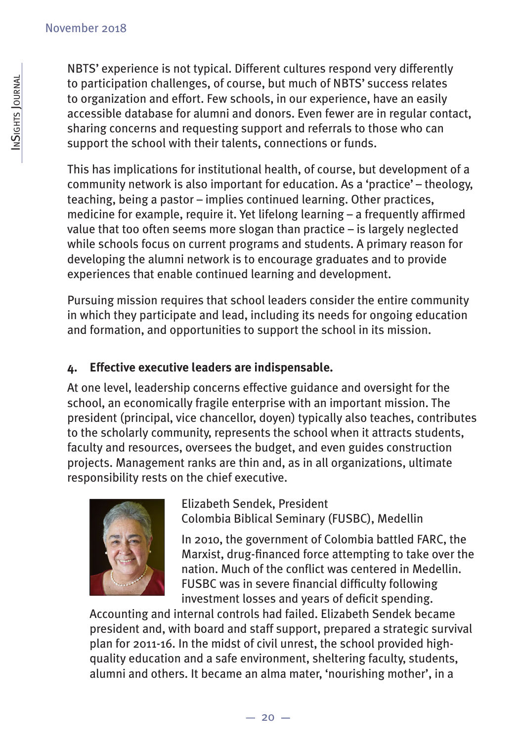NBTS' experience is not typical. Different cultures respond very differently to participation challenges, of course, but much of NBTS' success relates to organization and effort. Few schools, in our experience, have an easily accessible database for alumni and donors. Even fewer are in regular contact, sharing concerns and requesting support and referrals to those who can support the school with their talents, connections or funds.

This has implications for institutional health, of course, but development of a community network is also important for education. As a 'practice' – theology, teaching, being a pastor – implies continued learning. Other practices, medicine for example, require it. Yet lifelong learning  $-$  a frequently affirmed value that too often seems more slogan than practice – is largely neglected while schools focus on current programs and students. A primary reason for developing the alumni network is to encourage graduates and to provide experiences that enable continued learning and development.

Pursuing mission requires that school leaders consider the entire community in which they participate and lead, including its needs for ongoing education and formation, and opportunities to support the school in its mission.

#### **4. Effective executive leaders are indispensable.**

At one level, leadership concerns effective guidance and oversight for the school, an economically fragile enterprise with an important mission. The president (principal, vice chancellor, doyen) typically also teaches, contributes to the scholarly community, represents the school when it attracts students, faculty and resources, oversees the budget, and even guides construction projects. Management ranks are thin and, as in all organizations, ultimate responsibility rests on the chief executive.



Elizabeth Sendek, President Colombia Biblical Seminary (FUSBC), Medellin

In 2010, the government of Colombia battled FARC, the Marxist, drug-financed force attempting to take over the nation. Much of the conflict was centered in Medellin. FUSBC was in severe financial difficulty following investment losses and years of deficit spending.

Accounting and internal controls had failed. Elizabeth Sendek became president and, with board and staff support, prepared a strategic survival plan for 2011-16. In the midst of civil unrest, the school provided highquality education and a safe environment, sheltering faculty, students, alumni and others. It became an alma mater, 'nourishing mother', in a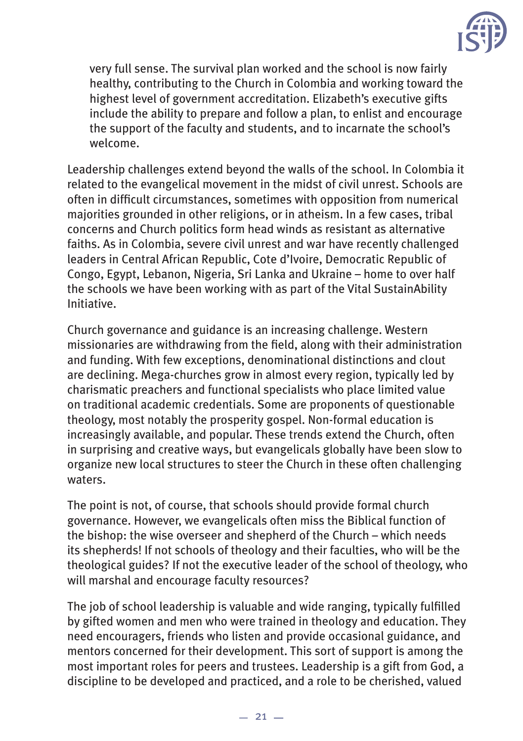

very full sense. The survival plan worked and the school is now fairly healthy, contributing to the Church in Colombia and working toward the highest level of government accreditation. Elizabeth's executive gifts include the ability to prepare and follow a plan, to enlist and encourage the support of the faculty and students, and to incarnate the school's welcome.

Leadership challenges extend beyond the walls of the school. In Colombia it related to the evangelical movement in the midst of civil unrest. Schools are often in difficult circumstances, sometimes with opposition from numerical majorities grounded in other religions, or in atheism. In a few cases, tribal concerns and Church politics form head winds as resistant as alternative faiths. As in Colombia, severe civil unrest and war have recently challenged leaders in Central African Republic, Cote d'Ivoire, Democratic Republic of Congo, Egypt, Lebanon, Nigeria, Sri Lanka and Ukraine – home to over half the schools we have been working with as part of the Vital SustainAbility Initiative.

Church governance and guidance is an increasing challenge. Western missionaries are withdrawing from the field, along with their administration and funding. With few exceptions, denominational distinctions and clout are declining. Mega-churches grow in almost every region, typically led by charismatic preachers and functional specialists who place limited value on traditional academic credentials. Some are proponents of questionable theology, most notably the prosperity gospel. Non-formal education is increasingly available, and popular. These trends extend the Church, often in surprising and creative ways, but evangelicals globally have been slow to organize new local structures to steer the Church in these often challenging waters.

The point is not, of course, that schools should provide formal church governance. However, we evangelicals often miss the Biblical function of the bishop: the wise overseer and shepherd of the Church – which needs its shepherds! If not schools of theology and their faculties, who will be the theological guides? If not the executive leader of the school of theology, who will marshal and encourage faculty resources?

The job of school leadership is valuable and wide ranging, typically fulfilled by gifted women and men who were trained in theology and education. They need encouragers, friends who listen and provide occasional guidance, and mentors concerned for their development. This sort of support is among the most important roles for peers and trustees. Leadership is a gift from God, a discipline to be developed and practiced, and a role to be cherished, valued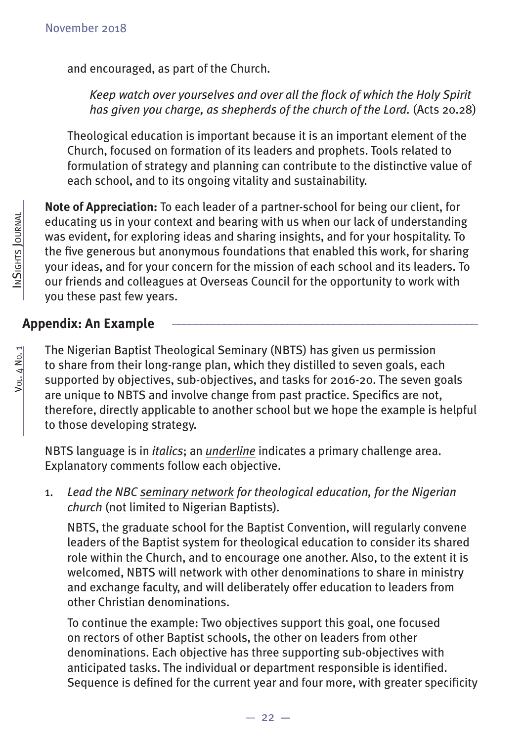and encouraged, as part of the Church.

*Keep watch over yourselves and over all the fl ock of which the Holy Spirit has given you charge, as shepherds of the church of the Lord.* (Acts 20.28)

Theological education is important because it is an important element of the Church, focused on formation of its leaders and prophets. Tools related to formulation of strategy and planning can contribute to the distinctive value of each school, and to its ongoing vitality and sustainability.

**Note of Appreciation:** To each leader of a partner-school for being our client, for educating us in your context and bearing with us when our lack of understanding was evident, for exploring ideas and sharing insights, and for your hospitality. To the five generous but anonymous foundations that enabled this work, for sharing your ideas, and for your concern for the mission of each school and its leaders. To our friends and colleagues at Overseas Council for the opportunity to work with you these past few years.

# **Appendix: An Example \_\_\_\_\_\_\_\_\_\_\_\_\_\_\_\_\_\_\_\_\_\_\_\_\_\_\_\_\_\_\_\_\_\_\_\_\_\_\_\_\_\_\_\_\_\_\_\_\_\_\_\_\_**

The Nigerian Baptist Theological Seminary (NBTS) has given us permission to share from their long-range plan, which they distilled to seven goals, each supported by objectives, sub-objectives, and tasks for 2016-20. The seven goals are unique to NBTS and involve change from past practice. Specifics are not, therefore, directly applicable to another school but we hope the example is helpful to those developing strategy.

NBTS language is in *italics*; an *underline* indicates a primary challenge area. Explanatory comments follow each objective.

1. *Lead the NBC seminary network for theological education, for the Nigerian church* (not limited to Nigerian Baptists)*.*

 NBTS, the graduate school for the Baptist Convention, will regularly convene leaders of the Baptist system for theological education to consider its shared role within the Church, and to encourage one another. Also, to the extent it is welcomed, NBTS will network with other denominations to share in ministry and exchange faculty, and will deliberately offer education to leaders from other Christian denominations.

 To continue the example: Two objectives support this goal, one focused on rectors of other Baptist schools, the other on leaders from other denominations. Each objective has three supporting sub-objectives with anticipated tasks. The individual or department responsible is identified. Sequence is defined for the current year and four more, with greater specificity

Vol. 4 No. 1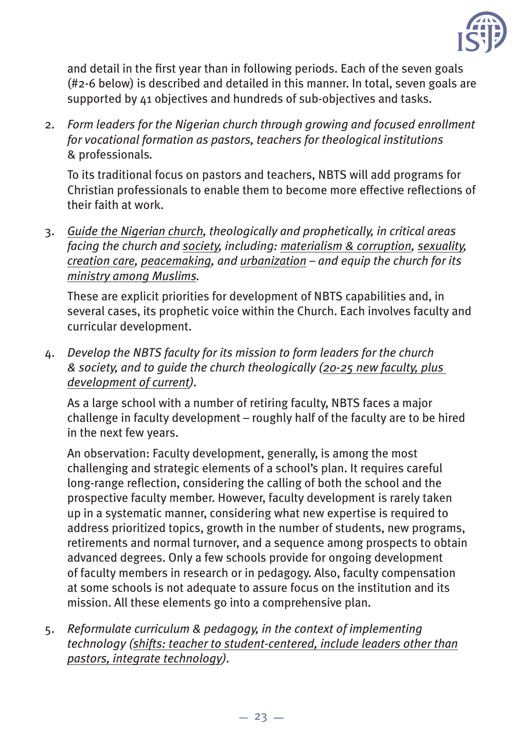

and detail in the first year than in following periods. Each of the seven goals (#2-6 below) is described and detailed in this manner. In total, seven goals are supported by 41 objectives and hundreds of sub-objectives and tasks.

2. *Form leaders for the Nigerian church through growing and focused enrollment for vocational formation as pastors, teachers for theological institutions* & professionals*.*

 To its traditional focus on pastors and teachers, NBTS will add programs for Christian professionals to enable them to become more effective reflections of their faith at work.

3. *Guide the Nigerian church, theologically and prophetically, in critical areas facing the church and society, including: materialism & corruption, sexuality, creation care, peacemaking, and urbanization – and equip the church for its ministry among Muslims.*

 These are explicit priorities for development of NBTS capabilities and, in several cases, its prophetic voice within the Church. Each involves faculty and curricular development.

4. *Develop the NBTS faculty for its mission to form leaders for the church & society, and to guide the church theologically (20-25 new faculty, plus development of current).*

 As a large school with a number of retiring faculty, NBTS faces a major challenge in faculty development – roughly half of the faculty are to be hired in the next few years.

 An observation: Faculty development, generally, is among the most challenging and strategic elements of a school's plan. It requires careful long-range reflection, considering the calling of both the school and the prospective faculty member. However, faculty development is rarely taken up in a systematic manner, considering what new expertise is required to address prioritized topics, growth in the number of students, new programs, retirements and normal turnover, and a sequence among prospects to obtain advanced degrees. Only a few schools provide for ongoing development of faculty members in research or in pedagogy. Also, faculty compensation at some schools is not adequate to assure focus on the institution and its mission. All these elements go into a comprehensive plan.

5. *Reformulate curriculum & pedagogy, in the context of implementing technology (shifts: teacher to student-centered, include leaders other than pastors, integrate technology).*